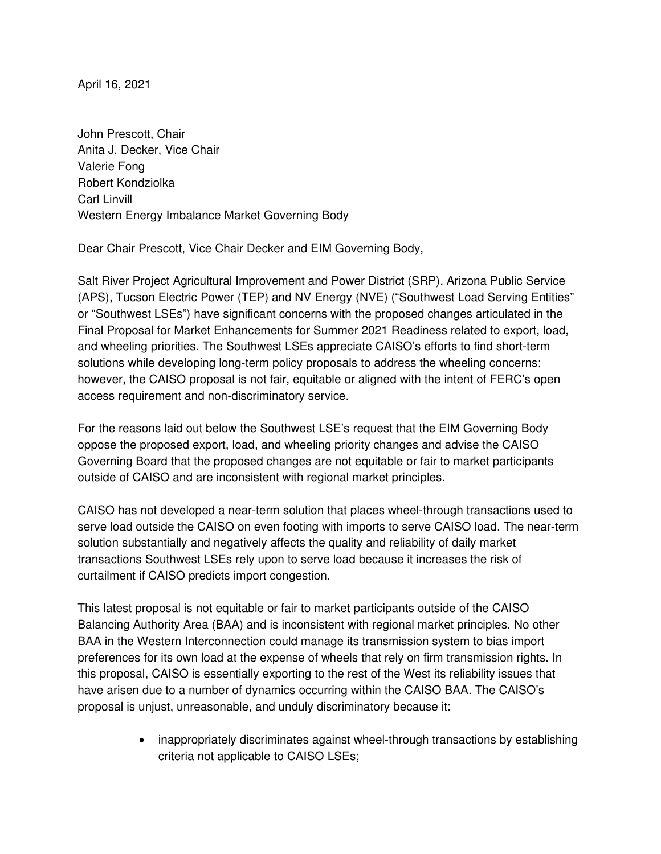April 16, 2021

John Prescott, Chair Anita J. Decker, Vice Chair Valerie Fong Robert Kondziolka Carl Linvill Western Energy Imbalance Market Governing Body

Dear Chair Prescott, Vice Chair Decker and EIM Governing Body,

Salt River Project Agricultural Improvement and Power District (SRP), Arizona Public Service (APS), Tucson Electric Power (TEP) and NV Energy (NVE) ("Southwest Load Serving Entities" or "Southwest LSEs") have significant concerns with the proposed changes articulated in the Final Proposal for Market Enhancements for Summer 2021 Readiness related to export, load, and wheeling priorities. The Southwest LSEs appreciate CAISO's efforts to find short-term solutions while developing long-term policy proposals to address the wheeling concerns; however, the CAISO proposal is not fair, equitable or aligned with the intent of FERC's open access requirement and non-discriminatory service.

For the reasons laid out below the Southwest LSE's request that the EIM Governing Body oppose the proposed export, load, and wheeling priority changes and advise the CAISO Governing Board that the proposed changes are not equitable or fair to market participants outside of CAISO and are inconsistent with regional market principles.

CAISO has not developed a near-term solution that places wheel-through transactions used to serve load outside the CAISO on even footing with imports to serve CAISO load. The near-term solution substantially and negatively affects the quality and reliability of daily market transactions Southwest LSEs rely upon to serve load because it increases the risk of curtailment if CAISO predicts import congestion.

This latest proposal is not equitable or fair to market participants outside of the CAISO Balancing Authority Area (BAA) and is inconsistent with regional market principles. No other BAA in the Western Interconnection could manage its transmission system to bias import preferences for its own load at the expense of wheels that rely on firm transmission rights. In this proposal, CAISO is essentially exporting to the rest of the West its reliability issues that have arisen due to a number of dynamics occurring within the CAISO BAA. The CAISO's proposal is unjust, unreasonable, and unduly discriminatory because it:

> • inappropriately discriminates against wheel-through transactions by establishing criteria not applicable to CAISO LSEs;